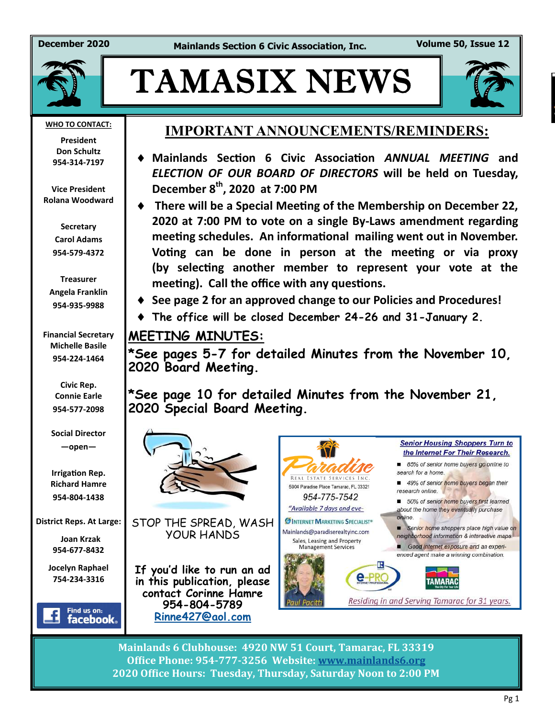**December 2020 Mainlands Section 6 Civic Association, Inc. Volume 50, Issue 12**



# TAMASIX NEWS



**WHO TO CONTACT:**

**President Don Schultz 954-314-7197**

**Vice President Rolana Woodward**

> **Secretary Carol Adams 954-579-4372**

**Treasurer Angela Franklin 954-935-9988**

**Financial Secretary Michelle Basile 954-224-1464**

> **Civic Rep. Connie Earle 954-577-2098**

**Social Director —open—**

**Irrigation Rep. Richard Hamre 954-804-1438**

**District Reps. At Large:**

 **Joan Krzak 954-677-8432**

**Jocelyn Raphael 754-234-3316** 



#### **IMPORTANT ANNOUNCEMENTS/REMINDERS:**

- **Mainlands Section 6 Civic Association** *ANNUAL MEETING* **and**  *ELECTION OF OUR BOARD OF DIRECTORS* **will be held on Tuesday, December 8th, 2020 at 7:00 PM**
- **There will be a Special Meeting of the Membership on December 22, 2020 at 7:00 PM to vote on a single By-Laws amendment regarding meeting schedules. An informational mailing went out in November. Voting can be done in person at the meeting or via proxy (by selecting another member to represent your vote at the meeting). Call the office with any questions.**
- **See page 2 for an approved change to our Policies and Procedures!**
- **The office will be closed December 24-26 and 31-January 2.**

#### **MEETING MINUTES:**

**\*See pages 5-7 for detailed Minutes from the November 10, 2020 Board Meeting.**

**\*See page 10 for detailed Minutes from the November 21, 2020 Special Board Meeting.**



**Mainlands 6 Clubhouse: 4920 NW 51 Court, Tamarac, FL 33319 Office Phone: 954-777-3256 Website: [www.mainlands6.org](http://www.mainlands6.org) 2020 Office Hours: Tuesday, Thursday, Saturday Noon to 2:00 PM**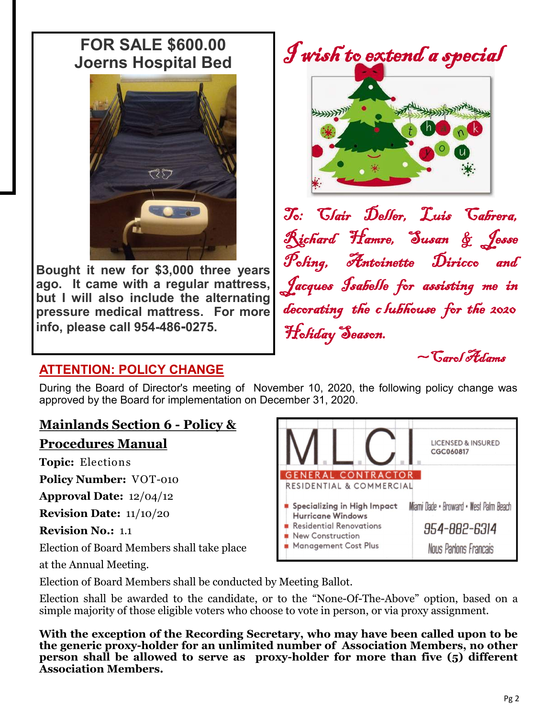## **FOR SALE \$600.00 Joerns Hospital Bed**



**Bought it new for \$3,000 three years ago. It came with a regular mattress, but I will also include the alternating pressure medical mattress. For more info, please call 954-486-0275.**

I wish to extend a special



To: Clair Deller, Luis Cabrera, Richard Hamre, Susan & Jesse Poling, Antoinette Diricco and Jacques Isabelle for assisting me in decorating the c lubhouse for the 2020 Holiday Season.  $\sim$ Carol Adams

#### **ATTENTION: POLICY CHANGE**

During the Board of Director's meeting of November 10, 2020, the following policy change was approved by the Board for implementation on December 31, 2020.

#### **Mainlands Section 6 - Policy &**

#### **Procedures Manual**

**Topic:** Elections

**Policy Number:** VOT-010

**Approval Date:** 12/04/12

**Revision Date:** 11/10/20

**Revision No.:** 1.1

Election of Board Members shall take place

at the Annual Meeting.



Election of Board Members shall be conducted by Meeting Ballot.

Election shall be awarded to the candidate, or to the "None-Of-The-Above" option, based on a simple majority of those eligible voters who choose to vote in person, or via proxy assignment.

**With the exception of the Recording Secretary, who may have been called upon to be the generic proxy-holder for an unlimited number of Association Members, no other person shall be allowed to serve as proxy-holder for more than five (5) different Association Members.**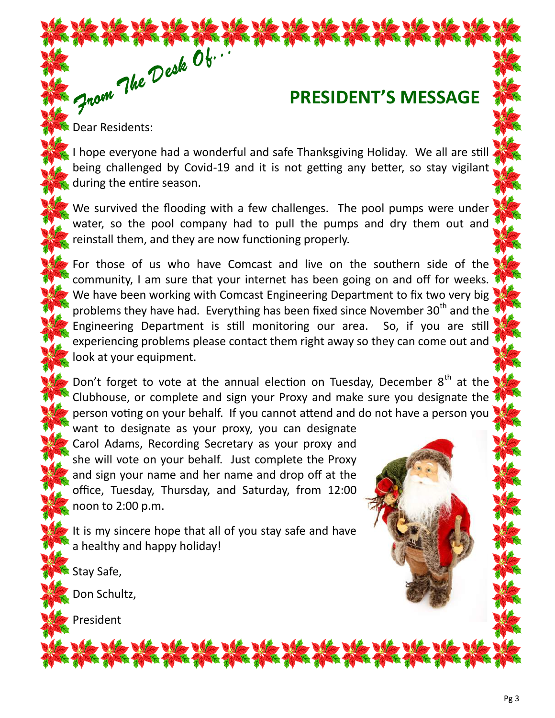## **PRESIDENT'S MESSAGE**

Dear Residents:

The the the The Cole Ob.

I hope everyone had a wonderful and safe Thanksgiving Holiday. We all are still being challenged by Covid-19 and it is not getting any better, so stay vigilant during the entire season.

We survived the flooding with a few challenges. The pool pumps were under water, so the pool company had to pull the pumps and dry them out and reinstall them, and they are now functioning properly.

For those of us who have Comcast and live on the southern side of the community, I am sure that your internet has been going on and off for weeks. We have been working with Comcast Engineering Department to fix two very big problems they have had. Everything has been fixed since November 30<sup>th</sup> and the Engineering Department is still monitoring our area. So, if you are still experiencing problems please contact them right away so they can come out and look at your equipment.

Don't forget to vote at the annual election on Tuesday, December  $8<sup>th</sup>$  at the Clubhouse, or complete and sign your Proxy and make sure you designate the person voting on your behalf. If you cannot attend and do not have a person you

want to designate as your proxy, you can designate Carol Adams, Recording Secretary as your proxy and she will vote on your behalf. Just complete the Proxy and sign your name and her name and drop off at the office, Tuesday, Thursday, and Saturday, from 12:00 noon to 2:00 p.m.

It is my sincere hope that all of you stay safe and have a healthy and happy holiday!

Stay Safe,

Don Schultz,

President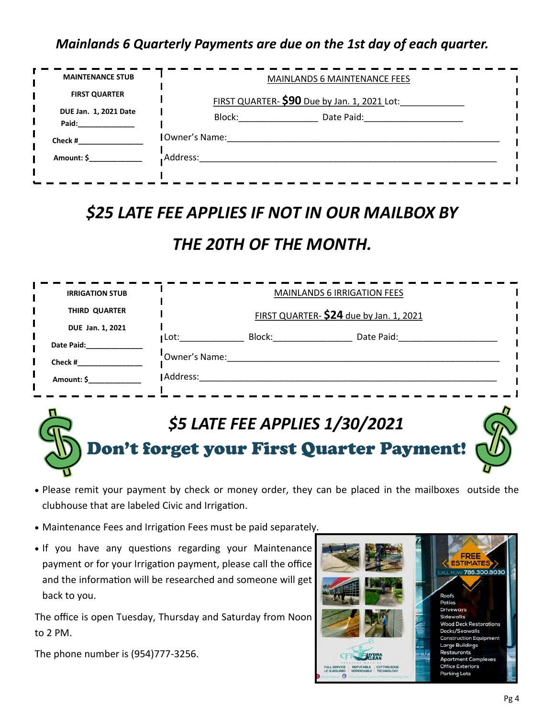#### *Mainlands 6 Quarterly Payments are due on the 1st day of each quarter.*

| <b>MAINTENANCE STUB</b>        | <b>MAINLANDS 6 MAINTENANCE FEES</b>                                                                                                                                                                                                          |  |  |  |  |  |
|--------------------------------|----------------------------------------------------------------------------------------------------------------------------------------------------------------------------------------------------------------------------------------------|--|--|--|--|--|
| <b>FIRST QUARTER</b>           | FIRST QUARTER- \$90 Due by Jan. 1, 2021 Lot:                                                                                                                                                                                                 |  |  |  |  |  |
| DUE Jan. 1, 2021 Date<br>Paid: | Block: All and the state of the state of the state of the state of the state of the state of the state of the state of the state of the state of the state of the state of the state of the state of the state of the state of<br>Date Paid: |  |  |  |  |  |
| Check #                        | <b>I</b> Owner's Name:                                                                                                                                                                                                                       |  |  |  |  |  |
| Amount: \$                     | Address:                                                                                                                                                                                                                                     |  |  |  |  |  |
|                                |                                                                                                                                                                                                                                              |  |  |  |  |  |

### *\$25 LATE FEE APPLIES IF NOT IN OUR MAILBOX BY*

## *THE 20TH OF THE MONTH.*

| <b>IRRIGATION STUB</b> | <b>MAINLANDS 6 IRRIGATION FEES</b>      |        |            |  |  |  |  |
|------------------------|-----------------------------------------|--------|------------|--|--|--|--|
| THIRD QUARTER          | FIRST QUARTER- \$24 due by Jan. 1, 2021 |        |            |  |  |  |  |
| DUE Jan. 1, 2021       |                                         |        |            |  |  |  |  |
| Date Paid:             | $\blacksquare$ Lot:                     | Block: | Date Paid: |  |  |  |  |
| Check #                | "Owner's Name:                          |        |            |  |  |  |  |
| Amount: \$             | Address:                                |        |            |  |  |  |  |
|                        |                                         |        |            |  |  |  |  |

## *\$5 LATE FEE APPLIES 1/30/2021* Don't forget your First Quarter Payment!

- Please remit your payment by check or money order, they can be placed in the mailboxes outside the clubhouse that are labeled Civic and Irrigation.
- Maintenance Fees and Irrigation Fees must be paid separately.
- If you have any questions regarding your Maintenance payment or for your Irrigation payment, please call the office and the information will be researched and someone will get back to you.

The office is open Tuesday, Thursday and Saturday from Noon to 2 PM.

The phone number is (954)777-3256.

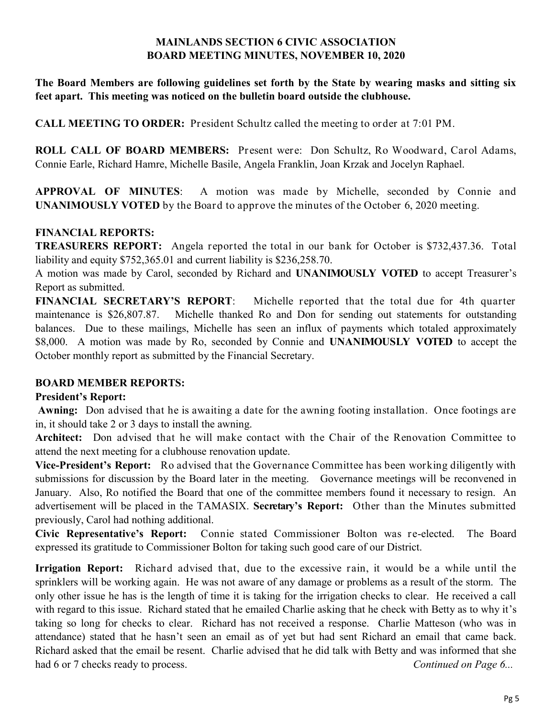#### **MAINLANDS SECTION 6 CIVIC ASSOCIATION BOARD MEETING MINUTES, NOVEMBER 10, 2020**

**The Board Members are following guidelines set forth by the State by wearing masks and sitting six feet apart. This meeting was noticed on the bulletin board outside the clubhouse.**

**CALL MEETING TO ORDER:** President Schultz called the meeting to order at 7:01 PM.

**ROLL CALL OF BOARD MEMBERS:** Present were: Don Schultz, Ro Woodward, Carol Adams, Connie Earle, Richard Hamre, Michelle Basile, Angela Franklin, Joan Krzak and Jocelyn Raphael.

**APPROVAL OF MINUTES**: A motion was made by Michelle, seconded by Connie and **UNANIMOUSLY VOTED** by the Board to approve the minutes of the October 6, 2020 meeting.

#### **FINANCIAL REPORTS:**

**TREASURERS REPORT:** Angela reported the total in our bank for October is \$732,437.36. Total liability and equity \$752,365.01 and current liability is \$236,258.70.

A motion was made by Carol, seconded by Richard and **UNANIMOUSLY VOTED** to accept Treasurer's Report as submitted.

**FINANCIAL SECRETARY'S REPORT**: Michelle reported that the total due for 4th quarter maintenance is \$26,807.87. Michelle thanked Ro and Don for sending out statements for outstanding balances. Due to these mailings, Michelle has seen an influx of payments which totaled approximately \$8,000. A motion was made by Ro, seconded by Connie and **UNANIMOUSLY VOTED** to accept the October monthly report as submitted by the Financial Secretary.

#### **BOARD MEMBER REPORTS:**

#### **President's Report:**

**Awning:** Don advised that he is awaiting a date for the awning footing installation. Once footings are in, it should take 2 or 3 days to install the awning.

**Architect:** Don advised that he will make contact with the Chair of the Renovation Committee to attend the next meeting for a clubhouse renovation update.

**Vice-President's Report:** Ro advised that the Governance Committee has been working diligently with submissions for discussion by the Board later in the meeting. Governance meetings will be reconvened in January. Also, Ro notified the Board that one of the committee members found it necessary to resign. An advertisement will be placed in the TAMASIX. **Secretary's Report:** Other than the Minutes submitted previously, Carol had nothing additional.

**Civic Representative's Report:** Connie stated Commissioner Bolton was re-elected. The Board expressed its gratitude to Commissioner Bolton for taking such good care of our District.

**Irrigation Report:** Richard advised that, due to the excessive rain, it would be a while until the sprinklers will be working again. He was not aware of any damage or problems as a result of the storm. The only other issue he has is the length of time it is taking for the irrigation checks to clear. He received a call with regard to this issue. Richard stated that he emailed Charlie asking that he check with Betty as to why it's taking so long for checks to clear. Richard has not received a response. Charlie Matteson (who was in attendance) stated that he hasn't seen an email as of yet but had sent Richard an email that came back. Richard asked that the email be resent. Charlie advised that he did talk with Betty and was informed that she had 6 or 7 checks ready to process. **Continued on Page 6...** Continued on Page 6...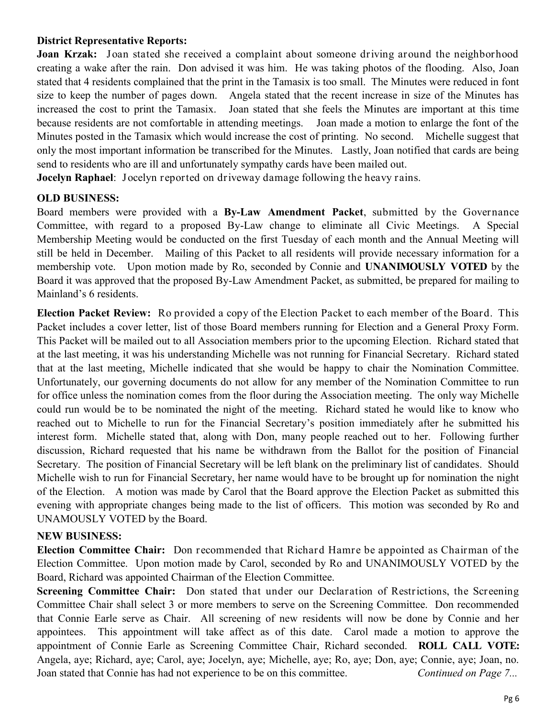#### **District Representative Reports:**

**Joan Krzak:** Joan stated she received a complaint about someone driving around the neighborhood creating a wake after the rain. Don advised it was him. He was taking photos of the flooding. Also, Joan stated that 4 residents complained that the print in the Tamasix is too small. The Minutes were reduced in font size to keep the number of pages down. Angela stated that the recent increase in size of the Minutes has increased the cost to print the Tamasix. Joan stated that she feels the Minutes are important at this time because residents are not comfortable in attending meetings. Joan made a motion to enlarge the font of the Minutes posted in the Tamasix which would increase the cost of printing. No second. Michelle suggest that only the most important information be transcribed for the Minutes. Lastly, Joan notified that cards are being send to residents who are ill and unfortunately sympathy cards have been mailed out.

**Jocelyn Raphael**: Jocelyn reported on driveway damage following the heavy rains.

#### **OLD BUSINESS:**

Board members were provided with a **By-Law Amendment Packet**, submitted by the Governance Committee, with regard to a proposed By-Law change to eliminate all Civic Meetings. A Special Membership Meeting would be conducted on the first Tuesday of each month and the Annual Meeting will still be held in December. Mailing of this Packet to all residents will provide necessary information for a membership vote. Upon motion made by Ro, seconded by Connie and **UNANIMOUSLY VOTED** by the Board it was approved that the proposed By-Law Amendment Packet, as submitted, be prepared for mailing to Mainland's 6 residents.

**Election Packet Review:** Ro provided a copy of the Election Packet to each member of the Board. This Packet includes a cover letter, list of those Board members running for Election and a General Proxy Form. This Packet will be mailed out to all Association members prior to the upcoming Election. Richard stated that at the last meeting, it was his understanding Michelle was not running for Financial Secretary. Richard stated that at the last meeting, Michelle indicated that she would be happy to chair the Nomination Committee. Unfortunately, our governing documents do not allow for any member of the Nomination Committee to run for office unless the nomination comes from the floor during the Association meeting. The only way Michelle could run would be to be nominated the night of the meeting. Richard stated he would like to know who reached out to Michelle to run for the Financial Secretary's position immediately after he submitted his interest form. Michelle stated that, along with Don, many people reached out to her. Following further discussion, Richard requested that his name be withdrawn from the Ballot for the position of Financial Secretary. The position of Financial Secretary will be left blank on the preliminary list of candidates. Should Michelle wish to run for Financial Secretary, her name would have to be brought up for nomination the night of the Election. A motion was made by Carol that the Board approve the Election Packet as submitted this evening with appropriate changes being made to the list of officers. This motion was seconded by Ro and UNAMOUSLY VOTED by the Board.

#### **NEW BUSINESS:**

**Election Committee Chair:** Don recommended that Richard Hamre be appointed as Chairman of the Election Committee. Upon motion made by Carol, seconded by Ro and UNANIMOUSLY VOTED by the Board, Richard was appointed Chairman of the Election Committee.

**Screening Committee Chair:** Don stated that under our Declaration of Restrictions, the Screening Committee Chair shall select 3 or more members to serve on the Screening Committee. Don recommended that Connie Earle serve as Chair. All screening of new residents will now be done by Connie and her appointees. This appointment will take affect as of this date. Carol made a motion to approve the appointment of Connie Earle as Screening Committee Chair, Richard seconded. **ROLL CALL VOTE:**  Angela, aye; Richard, aye; Carol, aye; Jocelyn, aye; Michelle, aye; Ro, aye; Don, aye; Connie, aye; Joan, no. Joan stated that Connie has had not experience to be on this committee. *Continued on Page 7...*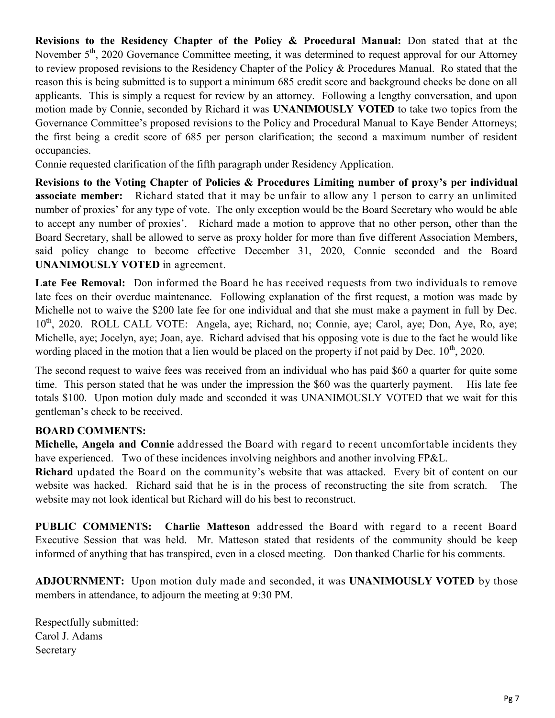**Revisions to the Residency Chapter of the Policy & Procedural Manual:** Don stated that at the November 5<sup>th</sup>, 2020 Governance Committee meeting, it was determined to request approval for our Attorney to review proposed revisions to the Residency Chapter of the Policy & Procedures Manual. Ro stated that the reason this is being submitted is to support a minimum 685 credit score and background checks be done on all applicants. This is simply a request for review by an attorney. Following a lengthy conversation, and upon motion made by Connie, seconded by Richard it was **UNANIMOUSLY VOTED** to take two topics from the Governance Committee's proposed revisions to the Policy and Procedural Manual to Kaye Bender Attorneys; the first being a credit score of 685 per person clarification; the second a maximum number of resident occupancies.

Connie requested clarification of the fifth paragraph under Residency Application.

**Revisions to the Voting Chapter of Policies & Procedures Limiting number of proxy's per individual associate member:** Richard stated that it may be unfair to allow any 1 person to carry an unlimited number of proxies' for any type of vote. The only exception would be the Board Secretary who would be able to accept any number of proxies'. Richard made a motion to approve that no other person, other than the Board Secretary, shall be allowed to serve as proxy holder for more than five different Association Members, said policy change to become effective December 31, 2020, Connie seconded and the Board **UNANIMOUSLY VOTED** in agreement.

**Late Fee Removal:** Don informed the Board he has received requests from two individuals to remove late fees on their overdue maintenance. Following explanation of the first request, a motion was made by Michelle not to waive the \$200 late fee for one individual and that she must make a payment in full by Dec. 10<sup>th</sup>, 2020. ROLL CALL VOTE: Angela, aye; Richard, no; Connie, aye; Carol, aye; Don, Aye, Ro, aye; Michelle, aye; Jocelyn, aye; Joan, aye. Richard advised that his opposing vote is due to the fact he would like wording placed in the motion that a lien would be placed on the property if not paid by Dec.  $10^{th}$ , 2020.

The second request to waive fees was received from an individual who has paid \$60 a quarter for quite some time. This person stated that he was under the impression the \$60 was the quarterly payment. His late fee totals \$100. Upon motion duly made and seconded it was UNANIMOUSLY VOTED that we wait for this gentleman's check to be received.

#### **BOARD COMMENTS:**

**Michelle, Angela and Connie** addressed the Board with regard to recent uncomfortable incidents they have experienced. Two of these incidences involving neighbors and another involving FP&L.

**Richard** updated the Board on the community's website that was attacked. Every bit of content on our website was hacked. Richard said that he is in the process of reconstructing the site from scratch. The website may not look identical but Richard will do his best to reconstruct.

**PUBLIC COMMENTS: Charlie Matteson** addressed the Board with regard to a recent Board Executive Session that was held. Mr. Matteson stated that residents of the community should be keep informed of anything that has transpired, even in a closed meeting. Don thanked Charlie for his comments.

**ADJOURNMENT:** Upon motion duly made and seconded, it was **UNANIMOUSLY VOTED** by those members in attendance, **t**o adjourn the meeting at 9:30 PM.

Respectfully submitted: Carol J. Adams Secretary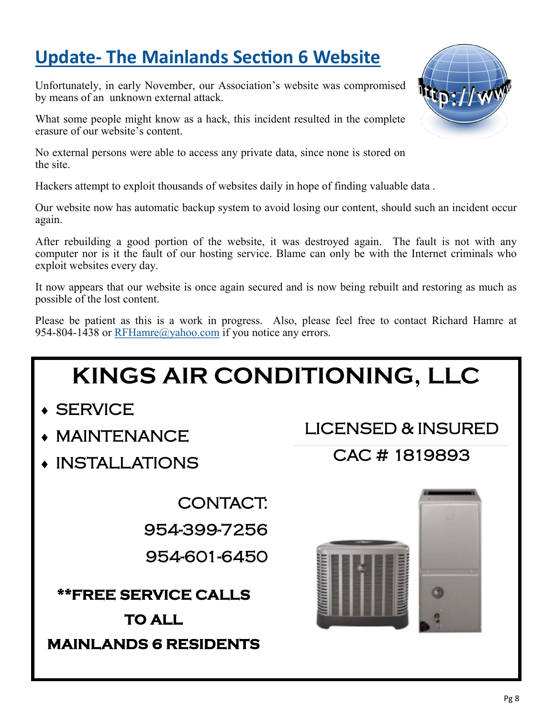## **Update- The Mainlands Section 6 Website**

Unfortunately, in early November, our Association's website was compromised by means of an unknown external attack.

What some people might know as a hack, this incident resulted in the complete erasure of our website's content.

No external persons were able to access any private data, since none is stored on the site.

Hackers attempt to exploit thousands of websites daily in hope of finding valuable data .

Our website now has automatic backup system to avoid losing our content, should such an incident occur again.

After rebuilding a good portion of the website, it was destroyed again. The fault is not with any computer nor is it the fault of our hosting service. Blame can only be with the Internet criminals who exploit websites every day.

It now appears that our website is once again secured and is now being rebuilt and restoring as much as possible of the lost content.

Please be patient as this is a work in progress. Also, please feel free to contact Richard Hamre at 954-804-1438 or [RFHamre@yahoo.com](mailto:RHamre@Mainlands6.org?subject=Mainlands%20Website) if you notice any errors.

## **KINGS AIR CONDITIONING, LLC**

- **SERVICE**
- MAINTENANCE
- INSTALLATIONS

CONTACT: 954-399-7256 954-601-6450

**\*\*FREE SERVICE CALLS** 

**TO ALL MAINLANDS 6 RESIDENTS**  LICENSED & INSURED

CAC # 1819893



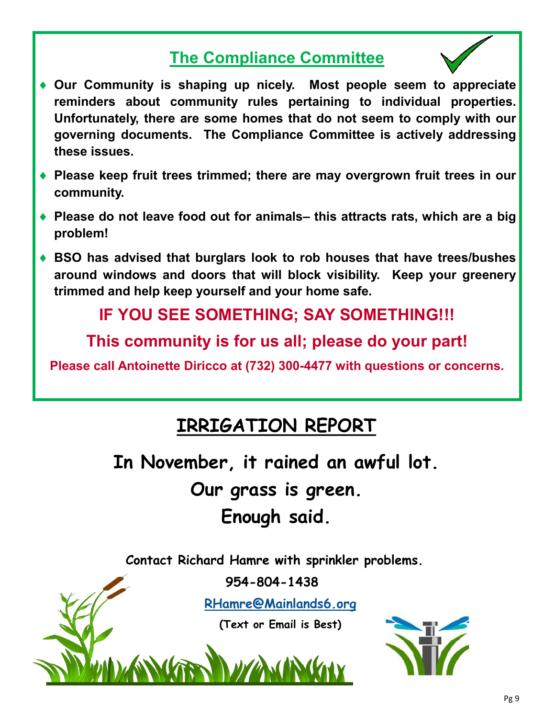## **The Compliance Committee**



- **Our Community is shaping up nicely. Most people seem to appreciate reminders about community rules pertaining to individual properties. Unfortunately, there are some homes that do not seem to comply with our governing documents. The Compliance Committee is actively addressing these issues.**
- **Please keep fruit trees trimmed; there are may overgrown fruit trees in our community.**
- **Please do not leave food out for animals– this attracts rats, which are a big problem!**
- **BSO has advised that burglars look to rob houses that have trees/bushes around windows and doors that will block visibility. Keep your greenery trimmed and help keep yourself and your home safe.**

## **IF YOU SEE SOMETHING; SAY SOMETHING!!!**

**This community is for us all; please do your part!**

**Please call Antoinette Diricco at (732) 300-4477 with questions or concerns.** 

## **IRRIGATION REPORT**

**In November, it rained an awful lot.** 

**Our grass is green. Enough said.** 

**Contact Richard Hamre with sprinkler problems.**

**954-804-1438**

**[RHamre@Mainlands6.org](mailto:RHamre@Mainlands6.org?subject=Mainlands%206%20Irrigation)**

**(Text or Email is Best)**

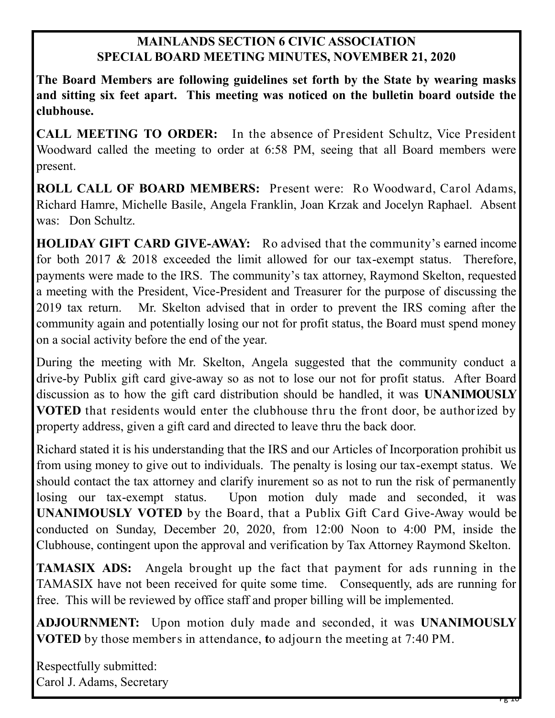#### **MAINLANDS SECTION 6 CIVIC ASSOCIATION SPECIAL BOARD MEETING MINUTES, NOVEMBER 21, 2020**

**The Board Members are following guidelines set forth by the State by wearing masks and sitting six feet apart. This meeting was noticed on the bulletin board outside the clubhouse.**

**CALL MEETING TO ORDER:** In the absence of President Schultz, Vice President Woodward called the meeting to order at 6:58 PM, seeing that all Board members were present.

**ROLL CALL OF BOARD MEMBERS:** Present were: Ro Woodward, Carol Adams, Richard Hamre, Michelle Basile, Angela Franklin, Joan Krzak and Jocelyn Raphael. Absent was: Don Schultz.

**HOLIDAY GIFT CARD GIVE-AWAY:** Ro advised that the community's earned income for both 2017 & 2018 exceeded the limit allowed for our tax-exempt status. Therefore, payments were made to the IRS. The community's tax attorney, Raymond Skelton, requested a meeting with the President, Vice-President and Treasurer for the purpose of discussing the 2019 tax return. Mr. Skelton advised that in order to prevent the IRS coming after the community again and potentially losing our not for profit status, the Board must spend money on a social activity before the end of the year.

During the meeting with Mr. Skelton, Angela suggested that the community conduct a drive-by Publix gift card give-away so as not to lose our not for profit status. After Board discussion as to how the gift card distribution should be handled, it was **UNANIMOUSLY VOTED** that residents would enter the clubhouse thru the front door, be authorized by property address, given a gift card and directed to leave thru the back door.

Richard stated it is his understanding that the IRS and our Articles of Incorporation prohibit us from using money to give out to individuals. The penalty is losing our tax-exempt status. We should contact the tax attorney and clarify inurement so as not to run the risk of permanently losing our tax-exempt status. Upon motion duly made and seconded, it was **UNANIMOUSLY VOTED** by the Board, that a Publix Gift Card Give-Away would be conducted on Sunday, December 20, 2020, from 12:00 Noon to 4:00 PM, inside the Clubhouse, contingent upon the approval and verification by Tax Attorney Raymond Skelton.

**TAMASIX ADS:** Angela brought up the fact that payment for ads running in the TAMASIX have not been received for quite some time. Consequently, ads are running for free. This will be reviewed by office staff and proper billing will be implemented.

**ADJOURNMENT:** Upon motion duly made and seconded, it was **UNANIMOUSLY VOTED** by those members in attendance, **t**o adjourn the meeting at 7:40 PM.

Respectfully submitted: Carol J. Adams, Secretary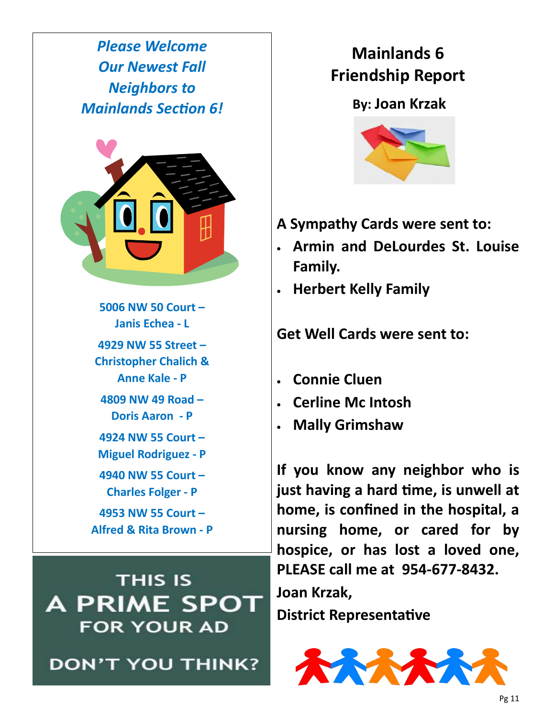*Please Welcome Our Newest Fall Neighbors to Mainlands Section 6!*



**5006 NW 50 Court – Janis Echea - L 4929 NW 55 Street – Christopher Chalich & Anne Kale - P 4809 NW 49 Road – Doris Aaron - P 4924 NW 55 Court –**

- **Miguel Rodriguez - P**
- **4940 NW 55 Court – Charles Folger - P**

**4953 NW 55 Court – Alfred & Rita Brown - P**

**THIS IS A PRIME SPOT FOR YOUR AD** 

**DON'T YOU THINK?** 

## **Mainlands 6 Friendship Report**

### **By: Joan Krzak**



- **A Sympathy Cards were sent to:**
- **Armin and DeLourdes St. Louise Family.**
- **Herbert Kelly Family**

**Get Well Cards were sent to:**

- **Connie Cluen**
- **Cerline Mc Intosh**
- **Mally Grimshaw**

**If you know any neighbor who is just having a hard time, is unwell at home, is confined in the hospital, a nursing home, or cared for by hospice, or has lost a loved one, PLEASE call me at 954-677-8432.**

**Joan Krzak, District Representative**